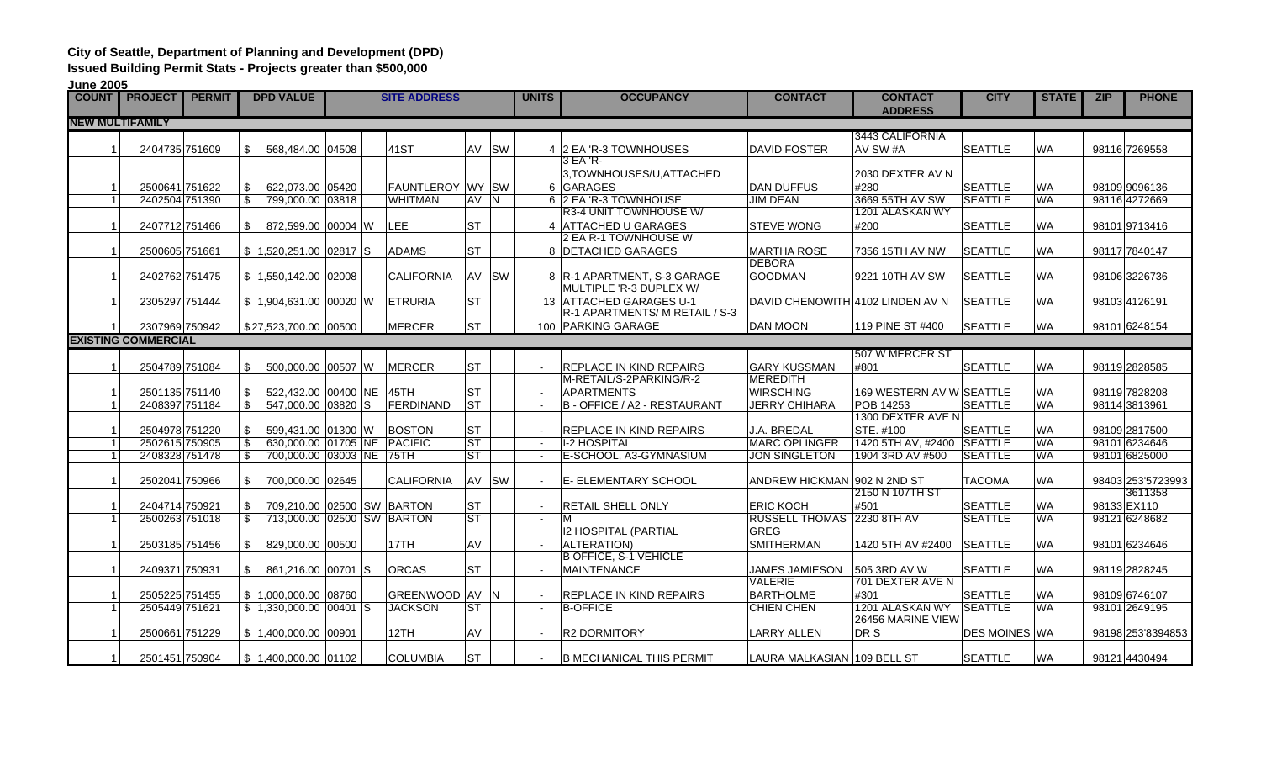## **City of Seattle, Department of Planning and Development (DPD)**

**Issued Building Permit Stats - Projects greater than \$500,000**

| June 2005              |                            |               |                                   |  |  |                          |           |                          |                                |                                  |                                  |                      |              |     |                   |
|------------------------|----------------------------|---------------|-----------------------------------|--|--|--------------------------|-----------|--------------------------|--------------------------------|----------------------------------|----------------------------------|----------------------|--------------|-----|-------------------|
|                        | <b>COUNT PROJECT</b>       | <b>PERMIT</b> | <b>DPD VALUE</b>                  |  |  | <b>SITE ADDRESS</b>      |           | <b>UNITS</b>             | <b>OCCUPANCY</b>               | <b>CONTACT</b>                   | <b>CONTACT</b><br><b>ADDRESS</b> | <b>CITY</b>          | <b>STATE</b> | ZIP | <b>PHONE</b>      |
| <b>NEW MULTIFAMILY</b> |                            |               |                                   |  |  |                          |           |                          |                                |                                  |                                  |                      |              |     |                   |
|                        |                            |               |                                   |  |  |                          |           |                          |                                |                                  | 3443 CALIFORNIA                  |                      |              |     |                   |
|                        | 2404735 751609             |               | \$<br>568.484.00 04508            |  |  | 41ST                     | AV SW     |                          | 4 2 EA 'R-3 TOWNHOUSES         | <b>DAVID FOSTER</b>              | AV SW #A                         | <b>SEATTLE</b>       | <b>WA</b>    |     | 98116 7269558     |
|                        |                            |               |                                   |  |  |                          |           |                          | 3 EA 'R-                       |                                  |                                  |                      |              |     |                   |
|                        |                            |               |                                   |  |  |                          |           |                          | 3, TOWNHOUSES/U, ATTACHED      |                                  | 2030 DEXTER AV N                 |                      |              |     |                   |
|                        | 2500641 751622             |               | 622,073.00 05420<br>S.            |  |  | <b>FAUNTLEROY WY ISW</b> |           |                          | 6 GARAGES                      | <b>DAN DUFFUS</b>                | #280                             | <b>SEATTLE</b>       | <b>WA</b>    |     | 98109 909 6136    |
|                        | 2402504 751390             |               | \$<br>799.000.00 03818            |  |  | <b>WHITMAN</b>           | AV N      |                          | 6 2 EA 'R-3 TOWNHOUSE          | <b>JIM DEAN</b>                  | 3669 55TH AV SW                  | <b>SEATTLE</b>       | <b>WA</b>    |     | 98116 4272669     |
|                        |                            |               |                                   |  |  |                          |           |                          | R3-4 UNIT TOWNHOUSE W/         |                                  | 1201 ALASKAN WY                  |                      |              |     |                   |
| $\overline{1}$         | 2407712 751466             |               | \$<br>872,599.00 00004 W          |  |  | LEE                      | <b>ST</b> |                          | 4 ATTACHED U GARAGES           | <b>STEVE WONG</b>                | #200                             | <b>SEATTLE</b>       | <b>WA</b>    |     | 98101 9713416     |
|                        |                            |               |                                   |  |  |                          |           |                          | 2 EA R-1 TOWNHOUSE W           |                                  |                                  |                      |              |     |                   |
| $\overline{1}$         | 2500605 751661             |               | $$1,520,251.00$ 02817 S           |  |  | <b>ADAMS</b>             | <b>ST</b> |                          | 8 DETACHED GARAGES             | <b>MARTHA ROSE</b>               | 7356 15TH AV NW                  | <b>SEATTLE</b>       | <b>WA</b>    |     | 98117 7840147     |
|                        |                            |               |                                   |  |  |                          |           |                          |                                | <b>DEBORA</b>                    |                                  |                      |              |     |                   |
| $\overline{1}$         | 2402762 751475             |               | $$1,550,142.00$ 02008             |  |  | <b>CALIFORNIA</b>        | AV SW     |                          | 8   R-1 APARTMENT, S-3 GARAGE  | <b>GOODMAN</b>                   | 9221 10TH AV SW                  | <b>SEATTLE</b>       | <b>WA</b>    |     | 98106 3226736     |
|                        |                            |               |                                   |  |  |                          |           |                          | MULTIPLE 'R-3 DUPLEX W/        |                                  |                                  |                      |              |     |                   |
| $\overline{1}$         | 2305297 751444             |               | \$1,904,631.00 00020 W            |  |  | <b>ETRURIA</b>           | <b>ST</b> |                          | 13 ATTACHED GARAGES U-1        | DAVID CHENOWITH 4102 LINDEN AV N |                                  | <b>SEATTLE</b>       | <b>WA</b>    |     | 98103 4126191     |
|                        |                            |               |                                   |  |  |                          |           |                          | R-1 APARTMENTS/ M RETAIL / S-3 |                                  |                                  |                      |              |     |                   |
|                        | 2307969 750942             |               | \$27,523,700.00 00500             |  |  | <b>MERCER</b>            | <b>ST</b> |                          | 100 PARKING GARAGE             | <b>DAN MOON</b>                  | 119 PINE ST #400                 | <b>SEATTLE</b>       | <b>WA</b>    |     | 98101 6248154     |
|                        | <b>EXISTING COMMERCIAL</b> |               |                                   |  |  |                          |           |                          |                                |                                  |                                  |                      |              |     |                   |
|                        |                            |               |                                   |  |  |                          |           |                          |                                |                                  | 507 W MERCER ST                  |                      |              |     |                   |
| $\overline{1}$         | 2504789 751084             |               | 500,000.00 00507 W<br>\$          |  |  | <b>MERCER</b>            | <b>ST</b> |                          | <b>REPLACE IN KIND REPAIRS</b> | <b>GARY KUSSMAN</b>              | #801                             | <b>SEATTLE</b>       | <b>WA</b>    |     | 98119 2828585     |
|                        |                            |               |                                   |  |  |                          |           |                          | M-RETAIL/S-2PARKING/R-2        | <b>MEREDITH</b>                  |                                  |                      |              |     |                   |
|                        | 2501135 751140             |               | 522,432.00 00400 NE 45TH<br>\$    |  |  |                          | <b>ST</b> |                          | <b>APARTMENTS</b>              | <b>WIRSCHING</b>                 | 169 WESTERN AV W SEATTLE         |                      | <b>WA</b>    |     | 98119 7828208     |
| $\overline{1}$         | 2408397 751184             |               | 547,000.00 03820 S<br>\$          |  |  | FERDINAND                | <b>ST</b> | $\sim$                   | B - OFFICE / A2 - RESTAURANT   | <b>JERRY CHIHARA</b>             | <b>POB 14253</b>                 | <b>SEATTLE</b>       | <b>WA</b>    |     | 98114 3813961     |
|                        |                            |               |                                   |  |  |                          |           |                          |                                |                                  | 1300 DEXTER AVE N                |                      |              |     |                   |
|                        | 2504978 751220             |               | 599.431.00 01300 W<br>\$          |  |  | <b>BOSTON</b>            | <b>ST</b> |                          | <b>REPLACE IN KIND REPAIRS</b> | J.A. BREDAL                      | STE. #100                        | <b>SEATTLE</b>       | <b>WA</b>    |     | 98109 2817500     |
|                        | 2502615 750905             |               | \$<br>630,000.00 01705 NE PACIFIC |  |  |                          | <b>ST</b> | $\blacksquare$           | <b>I-2 HOSPITAL</b>            | <b>MARC OPLINGER</b>             | 1420 5TH AV, #2400 SEATTLE       |                      | <b>WA</b>    |     | 98101 6234646     |
| $\overline{1}$         | 2408328 751478             |               | 700,000.00 03003 NE 75TH<br>\$    |  |  |                          | <b>ST</b> | $\overline{\phantom{a}}$ | E-SCHOOL, A3-GYMNASIUM         | <b>JON SINGLETON</b>             | 1904 3RD AV #500                 | <b>SEATTLE</b>       | <b>WA</b>    |     | 98101 6825000     |
|                        |                            |               |                                   |  |  |                          |           |                          |                                |                                  |                                  |                      |              |     |                   |
| $\overline{1}$         | 2502041 750966             |               | 700,000.00 02645<br>\$            |  |  | <b>CALIFORNIA</b>        | AV SW     | $\sim$                   | <b>E- ELEMENTARY SCHOOL</b>    | ANDREW HICKMAN 902 N 2ND ST      |                                  | <b>TACOMA</b>        | <b>WA</b>    |     | 98403 253'5723993 |
|                        |                            |               |                                   |  |  |                          |           |                          |                                |                                  | 2150 N 107TH ST                  |                      |              |     | 3611358           |
| $\overline{1}$         | 2404714 750921             |               | 709,210.00 02500 SW BARTON<br>\$  |  |  |                          | <b>ST</b> | $\blacksquare$           | <b>RETAIL SHELL ONLY</b>       | <b>ERIC KOCH</b>                 | #501                             | <b>SEATTLE</b>       | <b>WA</b>    |     | 98133 EX110       |
| $\overline{1}$         | 2500263 751018             |               | \$<br>713,000.00 02500 SW BARTON  |  |  |                          | <b>ST</b> | $\overline{\phantom{a}}$ | M                              | RUSSELL THOMAS 2230 8TH AV       |                                  | <b>SEATTLE</b>       | <b>WA</b>    |     | 98121 6248682     |
|                        |                            |               |                                   |  |  |                          |           |                          | <b>I2 HOSPITAL (PARTIAL</b>    | <b>GREG</b>                      |                                  |                      |              |     |                   |
| -1                     | 2503185 751456             |               | 829,000.00 00500<br>\$            |  |  | 17TH                     | AV        |                          | <b>ALTERATION)</b>             | <b>SMITHERMAN</b>                | 1420 5TH AV #2400                | <b>SEATTLE</b>       | <b>WA</b>    |     | 98101 6234646     |
|                        |                            |               |                                   |  |  |                          |           |                          | <b>B OFFICE, S-1 VEHICLE</b>   |                                  |                                  |                      |              |     |                   |
| $\overline{1}$         | 2409371 750931             |               | \$<br>861,216.00 00701 S          |  |  | <b>ORCAS</b>             | <b>ST</b> |                          | <b>MAINTENANCE</b>             | JAMES JAMIESON                   | 505 3RD AV W                     | <b>SEATTLE</b>       | <b>WA</b>    |     | 98119 2828245     |
|                        |                            |               |                                   |  |  |                          |           |                          |                                | <b>VALERIE</b>                   | 701 DEXTER AVE N                 |                      |              |     |                   |
|                        | 2505225 751455             |               | \$1,000,000.00 08760              |  |  | GREENWOOD AV N           |           |                          | REPLACE IN KIND REPAIRS        | <b>BARTHOLME</b>                 | #301                             | <b>SEATTLE</b>       | <b>WA</b>    |     | 98109 6746107     |
| $\overline{1}$         | 2505449 751621             |               | $$1,330,000.00$ 00401 S           |  |  | <b>JACKSON</b>           | <b>ST</b> | $\sim$                   | <b>B-OFFICE</b>                | CHIEN CHEN                       | 1201 ALASKAN WY                  | <b>SEATTLE</b>       | <b>WA</b>    |     | 98101 2649195     |
|                        |                            |               |                                   |  |  |                          |           |                          |                                |                                  | 26456 MARINE VIEW                |                      |              |     |                   |
| -1                     | 2500661 751229             |               | \$1.400.000.00 00901              |  |  | 12TH                     | AV        |                          | <b>R2 DORMITORY</b>            | LARRY ALLEN                      | DR S                             | <b>DES MOINES WA</b> |              |     | 98198 253 8394853 |
|                        |                            |               |                                   |  |  |                          |           |                          |                                |                                  |                                  |                      |              |     |                   |
| -1                     | 2501451 750904             |               | $$1,400,000.00$ 01102             |  |  | <b>COLUMBIA</b>          | <b>ST</b> | $\overline{\phantom{a}}$ | IB MECHANICAL THIS PERMIT      | LAURA MALKASIAN  109 BELL ST     |                                  | <b>SEATTLE</b>       | <b>WA</b>    |     | 98121 4430494     |